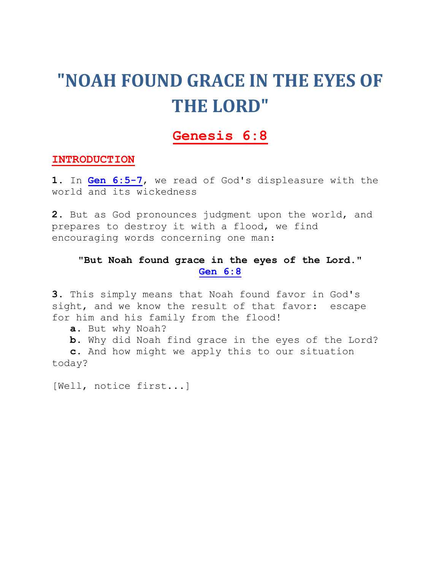# **"NOAH FOUND GRACE IN THE EYES OF THE LORD"**

# **[Genesis 6:8](http://biblia.com/bible/nkjv/Genesis%206.8)**

## **INTRODUCTION**

**1.** In **[Gen 6:5-7](http://biblia.com/bible/nkjv/Gen%206.5-7)**, we read of God's displeasure with the world and its wickedness

**2.** But as God pronounces judgment upon the world, and prepares to destroy it with a flood, we find encouraging words concerning one man:

# **"But Noah found grace in the eyes of the Lord." [Gen 6:8](http://biblia.com/bible/nkjv/Gen%206.8)**

**3.** This simply means that Noah found favor in God's sight, and we know the result of that favor: escape for him and his family from the flood!

- **a.** But why Noah?
- **b.** Why did Noah find grace in the eyes of the Lord?

 **c.** And how might we apply this to our situation today?

[Well, notice first...]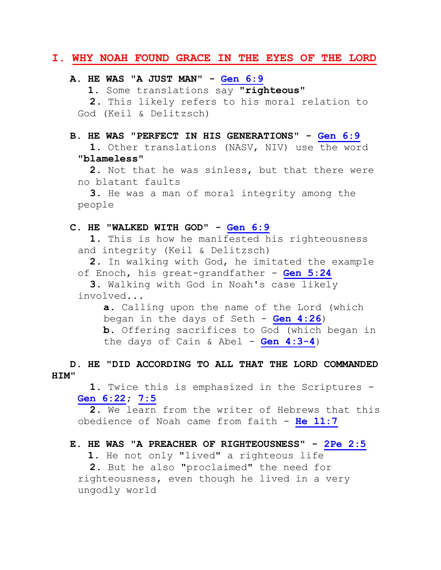## **I. WHY NOAH FOUND GRACE IN THE EYES OF THE LORD**

#### **A. HE WAS "A JUST MAN" - [Gen 6:9](http://biblia.com/bible/nkjv/Gen%206.9)**

**1.** Some translations say **"righteous"**

 **2.** This likely refers to his moral relation to God (Keil & Delitzsch)

## **B. HE WAS "PERFECT IN HIS GENERATIONS" - [Gen 6:9](http://biblia.com/bible/nkjv/Gen%206.9)** 1. Other translations (NASV, NIV) use the word **"blameless"**

 **2.** Not that he was sinless, but that there were no blatant faults

 **3.** He was a man of moral integrity among the people

#### **C. HE "WALKED WITH GOD" - [Gen 6:9](http://biblia.com/bible/nkjv/Gen%206.9)**

 **1.** This is how he manifested his righteousness and integrity (Keil & Delitzsch)

 **2.** In walking with God, he imitated the example of Enoch, his great-grandfather - **[Gen 5:24](http://biblia.com/bible/nkjv/Gen%205.24)**

 **3.** Walking with God in Noah's case likely involved...

**a.** Calling upon the name of the Lord (which began in the days of Seth - **[Gen 4:26](http://biblia.com/bible/nkjv/Gen%204.26)**) **b.** Offering sacrifices to God (which began in the days of Cain & Abel - **[Gen 4:3-4](http://biblia.com/bible/nkjv/Gen%204.3-4)**)

 **D. HE "DID ACCORDING TO ALL THAT THE LORD COMMANDED HIM"**

 **1.** Twice this is emphasized in the Scriptures - **[Gen 6:22;](http://biblia.com/bible/nkjv/Gen%206.22) [7:5](http://biblia.com/bible/nkjv/Gen%207.5)**

 **2.** We learn from the writer of Hebrews that this obedience of Noah came from faith - **[He 11:7](http://biblia.com/bible/nkjv/He%2011.7)**

## **E. HE WAS "A PREACHER OF RIGHTEOUSNESS" - [2Pe 2:5](http://biblia.com/bible/nkjv/2Pe%202.5)**

 **1.** He not only "lived" a righteous life **2.** But he also "proclaimed" the need for righteousness, even though he lived in a very ungodly world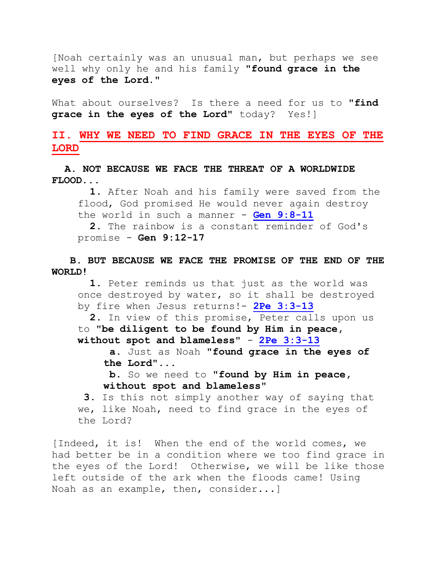[Noah certainly was an unusual man, but perhaps we see well why only he and his family **"found grace in the eyes of the Lord."**

What about ourselves? Is there a need for us to **"find grace in the eyes of the Lord"** today? Yes!]

# **II. WHY WE NEED TO FIND GRACE IN THE EYES OF THE LORD**

 **A. NOT BECAUSE WE FACE THE THREAT OF A WORLDWIDE FLOOD...**

 **1.** After Noah and his family were saved from the flood, God promised He would never again destroy the world in such a manner - **[Gen 9:8-11](http://biblia.com/bible/nkjv/Gen%209.8-11)**

 **2.** The rainbow is a constant reminder of God's promise - **Gen 9:12-17**

 **B. BUT BECAUSE WE FACE THE PROMISE OF THE END OF THE WORLD!**

 **1.** Peter reminds us that just as the world was once destroyed by water, so it shall be destroyed by fire when Jesus returns!- **[2Pe 3:3-13](http://biblia.com/bible/nkjv/2Pe%203.3-13)**

 **2.** In view of this promise, Peter calls upon us to **"be diligent to be found by Him in peace, without spot and blameless"** - **[2Pe 3:3-13](http://biblia.com/bible/nkjv/2Pe%203.3-13)**

**a.** Just as Noah **"found grace in the eyes of the Lord"**...

**b.** So we need to **"found by Him in peace, without spot and blameless"**

**3.** Is this not simply another way of saying that we, like Noah, need to find grace in the eyes of the Lord?

[Indeed, it is! When the end of the world comes, we had better be in a condition where we too find grace in the eyes of the Lord! Otherwise, we will be like those left outside of the ark when the floods came! Using Noah as an example, then, consider...]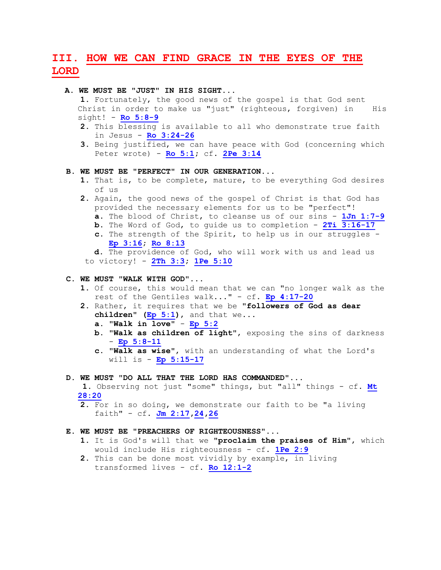# **III. HOW WE CAN FIND GRACE IN THE EYES OF THE LORD**

#### **A. WE MUST BE "JUST" IN HIS SIGHT...**

 **1.** Fortunately, the good news of the gospel is that God sent Christ in order to make us "just" (righteous, forgiven) in His sight! - **[Ro 5:8-9](http://biblia.com/bible/nkjv/Ro%205.8-9)**

- **2.** This blessing is available to all who demonstrate true faith in Jesus - **[Ro 3:24-26](http://biblia.com/bible/nkjv/Ro%203.24-26)**
- **3.** Being justified, we can have peace with God (concerning which Peter wrote) - **[Ro 5:1;](http://biblia.com/bible/nkjv/Ro%205.1)** cf. **[2Pe 3:14](http://biblia.com/bible/nkjv/2Pe%203.14)**

#### **B. WE MUST BE "PERFECT" IN OUR GENERATION...**

- **1.** That is, to be complete, mature, to be everything God desires of us
- **2.** Again, the good news of the gospel of Christ is that God has provided the necessary elements for us to be "perfect"!
	- **a.** The blood of Christ, to cleanse us of our sins **[1Jn 1:7-9](http://biblia.com/bible/nkjv/1Jn%201.7-9)**
	- **b.** The Word of God, to guide us to completion **[2Ti 3:16-17](http://biblia.com/bible/nkjv/2Ti%203.16-17)**
	- **c.** The strength of the Spirit, to help us in our struggles **[Ep 3:16;](http://biblia.com/bible/nkjv/Ep%203.16) [Ro 8:13](http://biblia.com/bible/nkjv/Ro%208.13)**

 **d.** The providence of God, who will work with us and lead us to victory! - **[2Th 3:3;](http://biblia.com/bible/nkjv/2Th%203.3) [1Pe 5:10](http://biblia.com/bible/nkjv/1Pe%205.10)**

#### **C. WE MUST "WALK WITH GOD"...**

- **1.** Of course, this would mean that we can "no longer walk as the rest of the Gentiles walk..." - cf. **[Ep 4:17-20](http://biblia.com/bible/nkjv/Ep%204.17-20)**
- **2.** Rather, it requires that we be **"followers of God as dear children" [\(Ep 5:1\)](http://biblia.com/bible/nkjv/Ep%205.1)**, and that we...
	- **a. "Walk in love" [Ep 5:2](http://biblia.com/bible/nkjv/Ep%205.2)**
	- **b. "Walk as children of light"**, exposing the sins of darkness - **[Ep 5:8-11](http://biblia.com/bible/nkjv/Ep%205.8-11)**
	- **c. "Walk as wise"**, with an understanding of what the Lord's will is - **[Ep 5:15-17](http://biblia.com/bible/nkjv/Ep%205.15-17)**

#### **D. WE MUST "DO ALL THAT THE LORD HAS COMMANDED"...**

**1.** Observing not just "some" things, but "all" things - cf. **[Mt](http://biblia.com/bible/nkjv/Mt%2028.20)  [28:20](http://biblia.com/bible/nkjv/Mt%2028.20)**

 **2.** For in so doing, we demonstrate our faith to be "a living faith" - cf. **[Jm 2:17,](http://biblia.com/bible/nkjv/Jm%202.17)[24](http://biblia.com/bible/nkjv/Jm%202.24)[,26](http://biblia.com/bible/nkjv/Jm%202.26)**

#### **E. WE MUST BE "PREACHERS OF RIGHTEOUSNESS"...**

- **1.** It is God's will that we **"proclaim the praises of Him"**, which would include His righteousness - cf. **[1Pe 2:9](http://biblia.com/bible/nkjv/1Pe%202.9)**
- **2.** This can be done most vividly by example, in living transformed lives - cf. **[Ro 12:1-2](http://biblia.com/bible/nkjv/Ro%2012.1-2)**